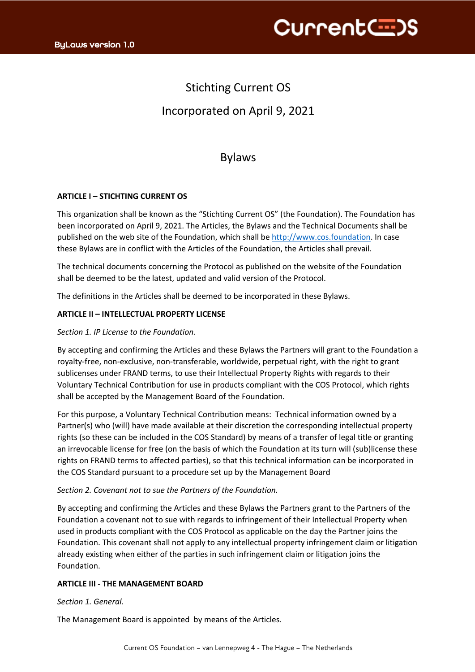

# Stichting Current OS Incorporated on April 9, 2021

# Bylaws

# **ARTICLE I – STICHTING CURRENT OS**

This organization shall be known as the "Stichting Current OS" (the Foundation). The Foundation has been incorporated on April 9, 2021. The Articles, the Bylaws and the Technical Documents shall be published on the web site of the Foundation, which shall be http://www.cos.foundation. In case these Bylaws are in conflict with the Articles of the Foundation, the Articles shall prevail.

The technical documents concerning the Protocol as published on the website of the Foundation shall be deemed to be the latest, updated and valid version of the Protocol.

The definitions in the Articles shall be deemed to be incorporated in these Bylaws.

## **ARTICLE II – INTELLECTUAL PROPERTY LICENSE**

#### *Section 1. IP License to the Foundation.*

By accepting and confirming the Articles and these Bylaws the Partners will grant to the Foundation a royalty-free, non-exclusive, non-transferable, worldwide, perpetual right, with the right to grant sublicenses under FRAND terms, to use their Intellectual Property Rights with regards to their Voluntary Technical Contribution for use in products compliant with the COS Protocol, which rights shall be accepted by the Management Board of the Foundation.

For this purpose, a Voluntary Technical Contribution means: Technical information owned by a Partner(s) who (will) have made available at their discretion the corresponding intellectual property rights (so these can be included in the COS Standard) by means of a transfer of legal title or granting an irrevocable license for free (on the basis of which the Foundation at its turn will (sub)license these rights on FRAND terms to affected parties), so that this technical information can be incorporated in the COS Standard pursuant to a procedure set up by the Management Board

#### *Section 2. Covenant not to sue the Partners of the Foundation.*

By accepting and confirming the Articles and these Bylaws the Partners grant to the Partners of the Foundation a covenant not to sue with regards to infringement of their Intellectual Property when used in products compliant with the COS Protocol as applicable on the day the Partner joins the Foundation. This covenant shall not apply to any intellectual property infringement claim or litigation already existing when either of the parties in such infringement claim or litigation joins the Foundation.

## **ARTICLE III - THE MANAGEMENT BOARD**

#### *Section 1. General.*

The Management Board is appointed by means of the Articles.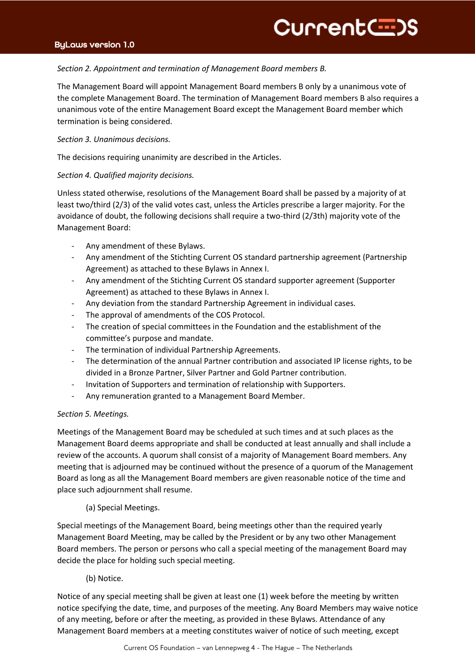# ByLaws version 1.0

#### $\overline{a}$ *Section 2. Appointment and termination of Management Board members B.*

The Management Board will appoint Management Board members B only by a unanimous vote of the complete Management Board. The termination of Management Board members B also requires a unanimous vote of the entire Management Board except the Management Board member which termination is being considered.

## *Section 3. Unanimous decisions.*

The decisions requiring unanimity are described in the Articles.

# *Section 4. Qualified majority decisions.*

Unless stated otherwise, resolutions of the Management Board shall be passed by a majority of at least two/third (2/3) of the valid votes cast, unless the Articles prescribe a larger majority. For the avoidance of doubt, the following decisions shall require a two-third (2/3th) majority vote of the Management Board:

- Any amendment of these Bylaws.
- Any amendment of the Stichting Current OS standard partnership agreement (Partnership Agreement) as attached to these Bylaws in Annex I.
- Any amendment of the Stichting Current OS standard supporter agreement (Supporter Agreement) as attached to these Bylaws in Annex I.
- Any deviation from the standard Partnership Agreement in individual cases.
- The approval of amendments of the COS Protocol.
- The creation of special committees in the Foundation and the establishment of the committee's purpose and mandate.
- The termination of individual Partnership Agreements.
- The determination of the annual Partner contribution and associated IP license rights, to be divided in a Bronze Partner, Silver Partner and Gold Partner contribution.
- Invitation of Supporters and termination of relationship with Supporters.
- Any remuneration granted to a Management Board Member.

## *Section 5. Meetings.*

Meetings of the Management Board may be scheduled at such times and at such places as the Management Board deems appropriate and shall be conducted at least annually and shall include a review of the accounts. A quorum shall consist of a majority of Management Board members. Any meeting that is adjourned may be continued without the presence of a quorum of the Management Board as long as all the Management Board members are given reasonable notice of the time and place such adjournment shall resume.

## (a) Special Meetings.

Special meetings of the Management Board, being meetings other than the required yearly Management Board Meeting, may be called by the President or by any two other Management Board members. The person or persons who call a special meeting of the management Board may decide the place for holding such special meeting.

# (b) Notice.

Notice of any special meeting shall be given at least one (1) week before the meeting by written notice specifying the date, time, and purposes of the meeting. Any Board Members may waive notice of any meeting, before or after the meeting, as provided in these Bylaws. Attendance of any Management Board members at a meeting constitutes waiver of notice of such meeting, except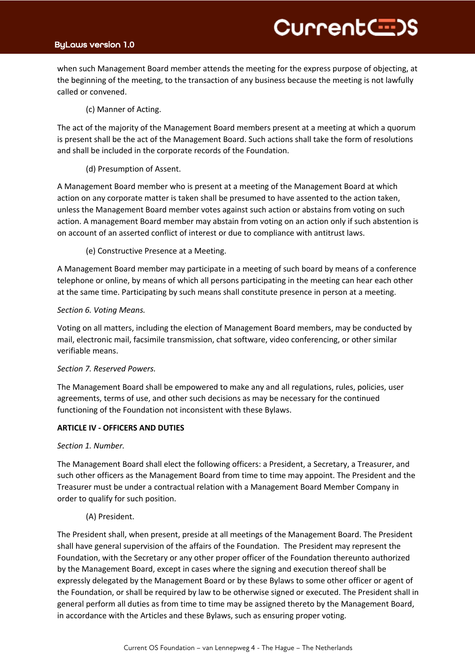# ByLaws version 1.0

TitleB when such Management Board member attends the meeting for the express purpose of objecting, at the beginning of the meeting, to the transaction of any business because the meeting is not lawfully called or convened.

CurrentC=>S

(c) Manner of Acting.

The act of the majority of the Management Board members present at a meeting at which a quorum is present shall be the act of the Management Board. Such actions shall take the form of resolutions and shall be included in the corporate records of the Foundation.

(d) Presumption of Assent.

A Management Board member who is present at a meeting of the Management Board at which action on any corporate matter is taken shall be presumed to have assented to the action taken, unless the Management Board member votes against such action or abstains from voting on such action. A management Board member may abstain from voting on an action only if such abstention is on account of an asserted conflict of interest or due to compliance with antitrust laws.

(e) Constructive Presence at a Meeting.

A Management Board member may participate in a meeting of such board by means of a conference telephone or online, by means of which all persons participating in the meeting can hear each other at the same time. Participating by such means shall constitute presence in person at a meeting.

#### *Section 6. Voting Means.*

Voting on all matters, including the election of Management Board members, may be conducted by mail, electronic mail, facsimile transmission, chat software, video conferencing, or other similar verifiable means.

#### *Section 7. Reserved Powers.*

The Management Board shall be empowered to make any and all regulations, rules, policies, user agreements, terms of use, and other such decisions as may be necessary for the continued functioning of the Foundation not inconsistent with these Bylaws.

## **ARTICLE IV - OFFICERS AND DUTIES**

#### *Section 1. Number.*

The Management Board shall elect the following officers: a President, a Secretary, a Treasurer, and such other officers as the Management Board from time to time may appoint. The President and the Treasurer must be under a contractual relation with a Management Board Member Company in order to qualify for such position.

#### (A) President.

The President shall, when present, preside at all meetings of the Management Board. The President shall have general supervision of the affairs of the Foundation. The President may represent the Foundation, with the Secretary or any other proper officer of the Foundation thereunto authorized by the Management Board, except in cases where the signing and execution thereof shall be expressly delegated by the Management Board or by these Bylaws to some other officer or agent of the Foundation, or shall be required by law to be otherwise signed or executed. The President shall in general perform all duties as from time to time may be assigned thereto by the Management Board, in accordance with the Articles and these Bylaws, such as ensuring proper voting.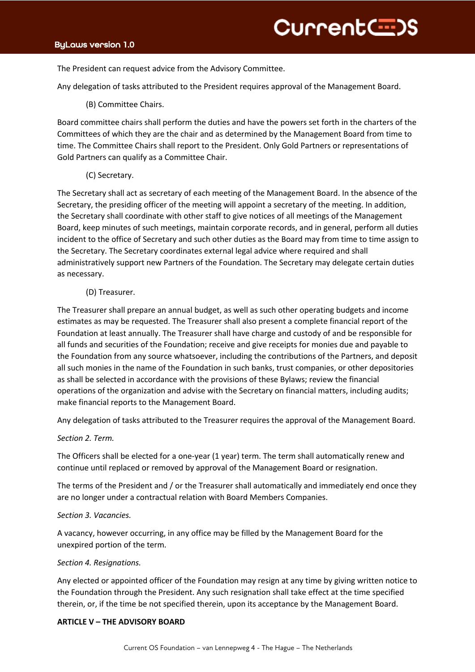$\overline{z}$ The President can request advice from the Advisory Committee.

Any delegation of tasks attributed to the President requires approval of the Management Board.

(B) Committee Chairs.

Board committee chairs shall perform the duties and have the powers set forth in the charters of the Committees of which they are the chair and as determined by the Management Board from time to time. The Committee Chairs shall report to the President. Only Gold Partners or representations of Gold Partners can qualify as a Committee Chair.

(C) Secretary.

The Secretary shall act as secretary of each meeting of the Management Board. In the absence of the Secretary, the presiding officer of the meeting will appoint a secretary of the meeting. In addition, the Secretary shall coordinate with other staff to give notices of all meetings of the Management Board, keep minutes of such meetings, maintain corporate records, and in general, perform all duties incident to the office of Secretary and such other duties as the Board may from time to time assign to the Secretary. The Secretary coordinates external legal advice where required and shall administratively support new Partners of the Foundation. The Secretary may delegate certain duties as necessary.

# (D) Treasurer.

The Treasurer shall prepare an annual budget, as well as such other operating budgets and income estimates as may be requested. The Treasurer shall also present a complete financial report of the Foundation at least annually. The Treasurer shall have charge and custody of and be responsible for all funds and securities of the Foundation; receive and give receipts for monies due and payable to the Foundation from any source whatsoever, including the contributions of the Partners, and deposit all such monies in the name of the Foundation in such banks, trust companies, or other depositories as shall be selected in accordance with the provisions of these Bylaws; review the financial operations of the organization and advise with the Secretary on financial matters, including audits; make financial reports to the Management Board.

Any delegation of tasks attributed to the Treasurer requires the approval of the Management Board.

## *Section 2. Term.*

The Officers shall be elected for a one-year (1 year) term. The term shall automatically renew and continue until replaced or removed by approval of the Management Board or resignation.

The terms of the President and / or the Treasurer shall automatically and immediately end once they are no longer under a contractual relation with Board Members Companies.

## *Section 3. Vacancies.*

A vacancy, however occurring, in any office may be filled by the Management Board for the unexpired portion of the term.

## *Section 4. Resignations.*

Any elected or appointed officer of the Foundation may resign at any time by giving written notice to the Foundation through the President. Any such resignation shall take effect at the time specified therein, or, if the time be not specified therein, upon its acceptance by the Management Board.

## **ARTICLE V – THE ADVISORY BOARD**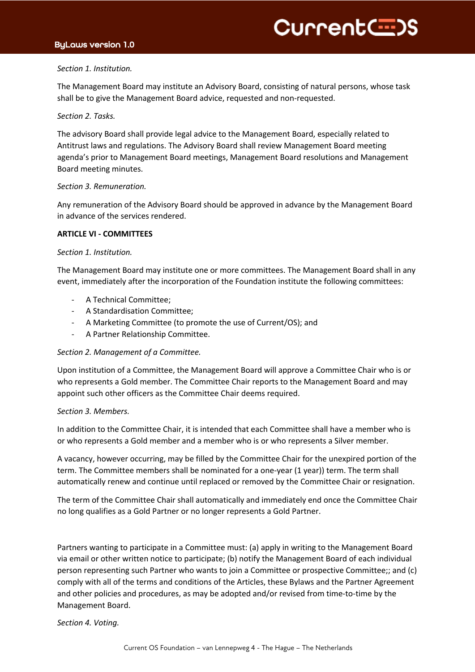# ByLaws version 1.0

#### $\overline{a}$ *Section 1. Institution.*

The Management Board may institute an Advisory Board, consisting of natural persons, whose task shall be to give the Management Board advice, requested and non-requested.

#### *Section 2. Tasks.*

The advisory Board shall provide legal advice to the Management Board, especially related to Antitrust laws and regulations. The Advisory Board shall review Management Board meeting agenda's prior to Management Board meetings, Management Board resolutions and Management Board meeting minutes.

## *Section 3. Remuneration.*

Any remuneration of the Advisory Board should be approved in advance by the Management Board in advance of the services rendered.

#### **ARTICLE VI - COMMITTEES**

#### *Section 1. Institution.*

The Management Board may institute one or more committees. The Management Board shall in any event, immediately after the incorporation of the Foundation institute the following committees:

- A Technical Committee:
- A Standardisation Committee;
- A Marketing Committee (to promote the use of Current/OS); and
- A Partner Relationship Committee.

## *Section 2. Management of a Committee.*

Upon institution of a Committee, the Management Board will approve a Committee Chair who is or who represents a Gold member. The Committee Chair reports to the Management Board and may appoint such other officers as the Committee Chair deems required.

## *Section 3. Members.*

In addition to the Committee Chair, it is intended that each Committee shall have a member who is or who represents a Gold member and a member who is or who represents a Silver member.

A vacancy, however occurring, may be filled by the Committee Chair for the unexpired portion of the term. The Committee members shall be nominated for a one-year (1 year)) term. The term shall automatically renew and continue until replaced or removed by the Committee Chair or resignation.

The term of the Committee Chair shall automatically and immediately end once the Committee Chair no long qualifies as a Gold Partner or no longer represents a Gold Partner.

Partners wanting to participate in a Committee must: (a) apply in writing to the Management Board via email or other written notice to participate; (b) notify the Management Board of each individual person representing such Partner who wants to join a Committee or prospective Committee;; and (c) comply with all of the terms and conditions of the Articles, these Bylaws and the Partner Agreement and other policies and procedures, as may be adopted and/or revised from time-to-time by the Management Board.

*Section 4. Voting.*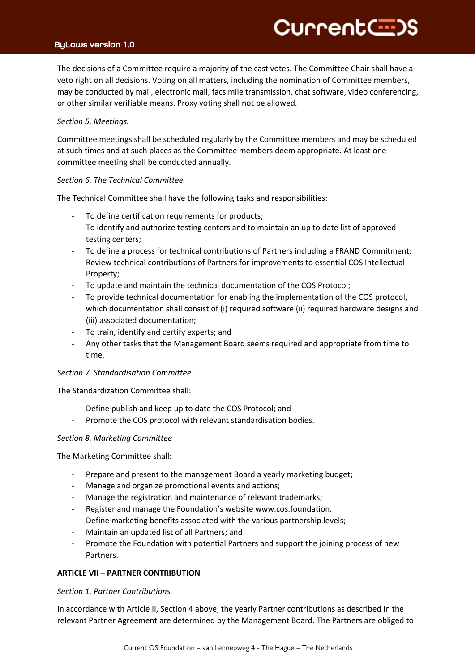# Current<del>C D</del>S

# ByLaws version 1.0

 $\overline{H}$   $\overline{H}$ The decisions of a Committee require a majority of the cast votes. The Committee Chair shall have a veto right on all decisions. Voting on all matters, including the nomination of Committee members, may be conducted by mail, electronic mail, facsimile transmission, chat software, video conferencing, or other similar verifiable means. Proxy voting shall not be allowed.

#### *Section 5. Meetings.*

Committee meetings shall be scheduled regularly by the Committee members and may be scheduled at such times and at such places as the Committee members deem appropriate. At least one committee meeting shall be conducted annually.

#### *Section 6. The Technical Committee.*

The Technical Committee shall have the following tasks and responsibilities:

- To define certification requirements for products;
- To identify and authorize testing centers and to maintain an up to date list of approved testing centers;
- To define a process for technical contributions of Partners including a FRAND Commitment;
- Review technical contributions of Partners for improvements to essential COS Intellectual Property;
- To update and maintain the technical documentation of the COS Protocol;
- To provide technical documentation for enabling the implementation of the COS protocol, which documentation shall consist of (i) required software (ii) required hardware designs and (iii) associated documentation;
- To train, identify and certify experts; and
- Any other tasks that the Management Board seems required and appropriate from time to time.

## *Section 7. Standardisation Committee.*

The Standardization Committee shall:

- Define publish and keep up to date the COS Protocol; and
- Promote the COS protocol with relevant standardisation bodies.

## *Section 8. Marketing Committee*

The Marketing Committee shall:

- Prepare and present to the management Board a yearly marketing budget;
- Manage and organize promotional events and actions;
- Manage the registration and maintenance of relevant trademarks;
- Register and manage the Foundation's website www.cos.foundation.
- Define marketing benefits associated with the various partnership levels;
- Maintain an updated list of all Partners; and
- Promote the Foundation with potential Partners and support the joining process of new Partners.

## **ARTICLE VII – PARTNER CONTRIBUTION**

## *Section 1. Partner Contributions.*

In accordance with Article II, Section 4 above, the yearly Partner contributions as described in the relevant Partner Agreement are determined by the Management Board. The Partners are obliged to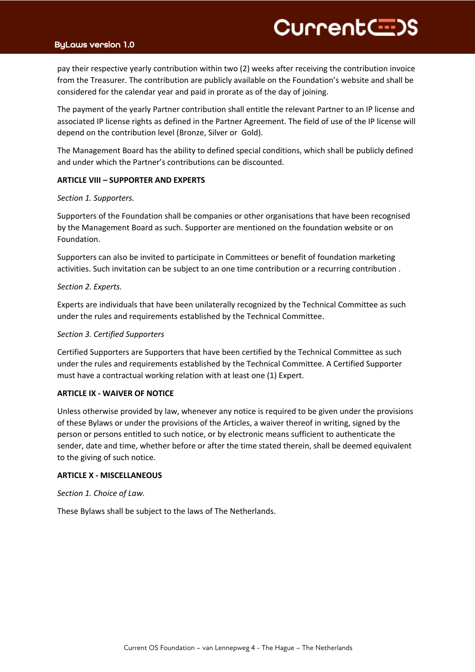# Current<del>C :</del>)S

## ByLaws version 1.0

TitleB pay their respective yearly contribution within two (2) weeks after receiving the contribution invoice from the Treasurer. The contribution are publicly available on the Foundation's website and shall be considered for the calendar year and paid in prorate as of the day of joining.

The payment of the yearly Partner contribution shall entitle the relevant Partner to an IP license and associated IP license rights as defined in the Partner Agreement. The field of use of the IP license will depend on the contribution level (Bronze, Silver or Gold).

The Management Board has the ability to defined special conditions, which shall be publicly defined and under which the Partner's contributions can be discounted.

#### **ARTICLE VIII – SUPPORTER AND EXPERTS**

#### *Section 1. Supporters.*

Supporters of the Foundation shall be companies or other organisations that have been recognised by the Management Board as such. Supporter are mentioned on the foundation website or on Foundation.

Supporters can also be invited to participate in Committees or benefit of foundation marketing activities. Such invitation can be subject to an one time contribution or a recurring contribution .

#### *Section 2. Experts.*

Experts are individuals that have been unilaterally recognized by the Technical Committee as such under the rules and requirements established by the Technical Committee.

#### *Section 3. Certified Supporters*

Certified Supporters are Supporters that have been certified by the Technical Committee as such under the rules and requirements established by the Technical Committee. A Certified Supporter must have a contractual working relation with at least one (1) Expert.

#### **ARTICLE IX - WAIVER OF NOTICE**

Unless otherwise provided by law, whenever any notice is required to be given under the provisions of these Bylaws or under the provisions of the Articles, a waiver thereof in writing, signed by the person or persons entitled to such notice, or by electronic means sufficient to authenticate the sender, date and time, whether before or after the time stated therein, shall be deemed equivalent to the giving of such notice.

#### **ARTICLE X - MISCELLANEOUS**

*Section 1. Choice of Law.*

These Bylaws shall be subject to the laws of The Netherlands.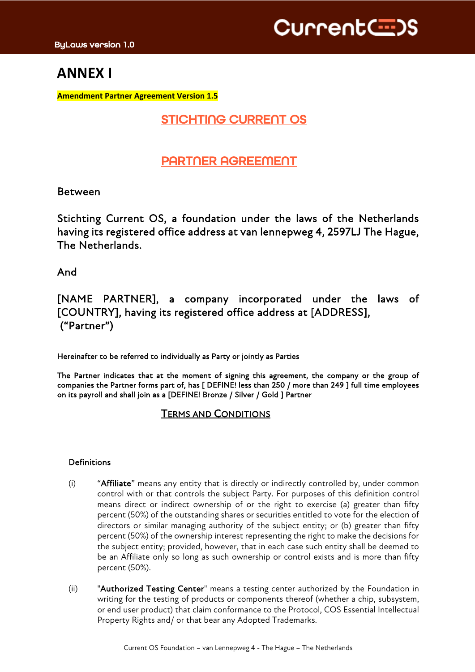# **ANNEX I**

**Amendment Partner Agreement Version 1.5**

# STICHTING CURRENT OS

# PARTNER AGREEMENT

# Between

Stichting Current OS, a foundation under the laws of the Netherlands having its registered office address at van lennepweg 4, 2597LJ The Hague, The Netherlands.

And

[NAME PARTNER], a company incorporated under the laws of [COUNTRY], having its registered office address at [ADDRESS], ("Partner")

Hereinafter to be referred to individually as Party or jointly as Parties

The Partner indicates that at the moment of signing this agreement, the company or the group of companies the Partner forms part of, has [ DEFINE! less than 250 / more than 249 ] full time employees on its payroll and shall join as a [DEFINE! Bronze / Silver / Gold ] Partner

# TERMS AND CONDITIONS

# Definitions

- (i) "Affiliate" means any entity that is directly or indirectly controlled by, under common control with or that controls the subject Party. For purposes of this definition control means direct or indirect ownership of or the right to exercise (a) greater than fifty percent (50%) of the outstanding shares or securities entitled to vote for the election of directors or similar managing authority of the subject entity; or (b) greater than fifty percent (50%) of the ownership interest representing the right to make the decisions for the subject entity; provided, however, that in each case such entity shall be deemed to be an Affiliate only so long as such ownership or control exists and is more than fifty percent (50%).
- (ii) "Authorized Testing Center" means a testing center authorized by the Foundation in writing for the testing of products or components thereof (whether a chip, subsystem, or end user product) that claim conformance to the Protocol, COS Essential Intellectual Property Rights and/ or that bear any Adopted Trademarks.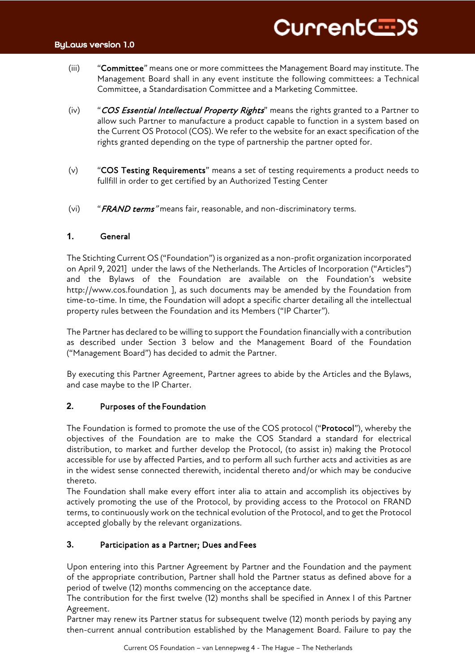- $(iii)$ "Committee" means one or more committees the Management Board may institute. The Management Board shall in any event institute the following committees: a Technical Committee, a Standardisation Committee and a Marketing Committee.
- (iv) "COS Essential Intellectual Property Rights" means the rights granted to a Partner to allow such Partner to manufacture a product capable to function in a system based on the Current OS Protocol (COS). We refer to the website for an exact specification of the rights granted depending on the type of partnership the partner opted for.
- (v) "COS Testing Requirements" means a set of testing requirements a product needs to fullfill in order to get certified by an Authorized Testing Center
- (vi) "FRAND terms" means fair, reasonable, and non-discriminatory terms.

# **1.** General

The Stichting Current OS ("Foundation") is organized as a non-profit organization incorporated on April 9, 2021] under the laws of the Netherlands. The Articles of Incorporation ("Articles") and the Bylaws of the Foundation are available on the Foundation's website http://www.cos.foundation ], as such documents may be amended by the Foundation from time-to-time. In time, the Foundation will adopt a specific charter detailing all the intellectual property rules between the Foundation and its Members ("IP Charter").

The Partner has declared to be willing to support the Foundation financially with a contribution as described under Section 3 below and the Management Board of the Foundation ("Management Board") has decided to admit the Partner.

By executing this Partner Agreement, Partner agrees to abide by the Articles and the Bylaws, and case maybe to the IP Charter.

## **2.** Purposes of the Foundation

The Foundation is formed to promote the use of the COS protocol ("Protocol"), whereby the objectives of the Foundation are to make the COS Standard a standard for electrical distribution, to market and further develop the Protocol, (to assist in) making the Protocol accessible for use by affected Parties, and to perform all such further acts and activities as are in the widest sense connected therewith, incidental thereto and/or which may be conducive thereto.

The Foundation shall make every effort inter alia to attain and accomplish its objectives by actively promoting the use of the Protocol, by providing access to the Protocol on FRAND terms, to continuously work on the technical evolution of the Protocol, and to get the Protocol accepted globally by the relevant organizations.

# **3.** Participation as a Partner; Dues and Fees

Upon entering into this Partner Agreement by Partner and the Foundation and the payment of the appropriate contribution, Partner shall hold the Partner status as defined above for a period of twelve (12) months commencing on the acceptance date.

The contribution for the first twelve (12) months shall be specified in Annex I of this Partner Agreement.

Partner may renew its Partner status for subsequent twelve (12) month periods by paying any then-current annual contribution established by the Management Board. Failure to pay the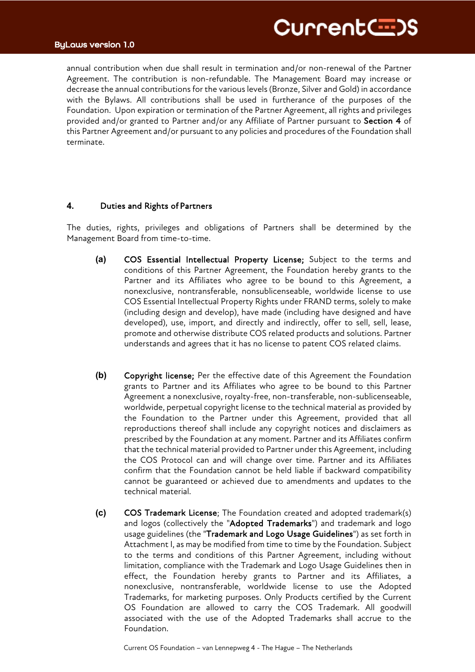# CurrentC=>S

# ByLaws version 1.0

annual contribution when due shall result in termination and/or non-renewal of the Partner Agreement. The contribution is non-refundable. The Management Board may increase or decrease the annual contributions for the various levels (Bronze, Silver and Gold) in accordance with the Bylaws. All contributions shall be used in furtherance of the purposes of the Foundation. Upon expiration or termination of the Partner Agreement, all rights and privileges provided and/or granted to Partner and/or any Affiliate of Partner pursuant to Section 4 of this Partner Agreement and/or pursuant to any policies and procedures of the Foundation shall terminate.

# **4.** Duties and Rights of Partners

The duties, rights, privileges and obligations of Partners shall be determined by the Management Board from time-to-time.

- **(a)** COS Essential Intellectual Property License; Subject to the terms and conditions of this Partner Agreement, the Foundation hereby grants to the Partner and its Affiliates who agree to be bound to this Agreement, a nonexclusive, nontransferable, nonsublicenseable, worldwide license to use COS Essential Intellectual Property Rights under FRAND terms, solely to make (including design and develop), have made (including have designed and have developed), use, import, and directly and indirectly, offer to sell, sell, lease, promote and otherwise distribute COS related products and solutions. Partner understands and agrees that it has no license to patent COS related claims.
- **(b)** Copyright license; Per the effective date of this Agreement the Foundation grants to Partner and its Affiliates who agree to be bound to this Partner Agreement a nonexclusive, royalty-free, non-transferable, non-sublicenseable, worldwide, perpetual copyright license to the technical material as provided by the Foundation to the Partner under this Agreement, provided that all reproductions thereof shall include any copyright notices and disclaimers as prescribed by the Foundation at any moment. Partner and its Affiliates confirm that the technical material provided to Partner under this Agreement, including the COS Protocol can and will change over time. Partner and its Affiliates confirm that the Foundation cannot be held liable if backward compatibility cannot be guaranteed or achieved due to amendments and updates to the technical material.
- **(c)** COS Trademark License; The Foundation created and adopted trademark(s) and logos (collectively the "Adopted Trademarks") and trademark and logo usage guidelines (the "Trademark and Logo Usage Guidelines") as set forth in Attachment I, as may be modified from time to time by the Foundation. Subject to the terms and conditions of this Partner Agreement, including without limitation, compliance with the Trademark and Logo Usage Guidelines then in effect, the Foundation hereby grants to Partner and its Affiliates, a nonexclusive, nontransferable, worldwide license to use the Adopted Trademarks, for marketing purposes. Only Products certified by the Current OS Foundation are allowed to carry the COS Trademark. All goodwill associated with the use of the Adopted Trademarks shall accrue to the Foundation.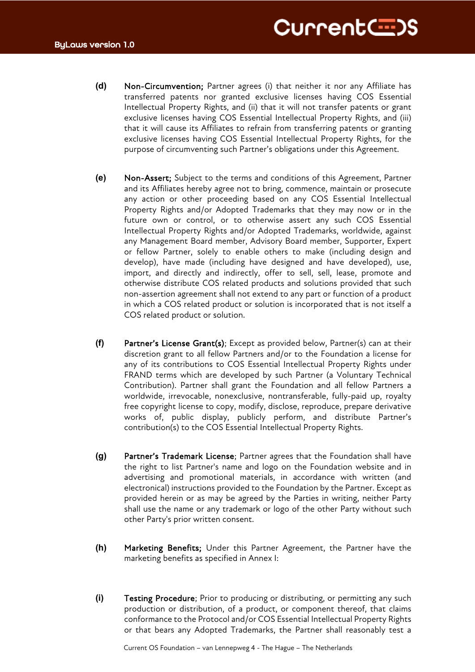- **(d)** Non-Circumvention; Partner agrees (i) that neither it nor any Affiliate has transferred patents nor granted exclusive licenses having COS Essential Intellectual Property Rights, and (ii) that it will not transfer patents or grant exclusive licenses having COS Essential Intellectual Property Rights, and (iii) that it will cause its Affiliates to refrain from transferring patents or granting exclusive licenses having COS Essential Intellectual Property Rights, for the purpose of circumventing such Partner's obligations under this Agreement.
- **(e)** Non-Assert; Subject to the terms and conditions of this Agreement, Partner and its Affiliates hereby agree not to bring, commence, maintain or prosecute any action or other proceeding based on any COS Essential Intellectual Property Rights and/or Adopted Trademarks that they may now or in the future own or control, or to otherwise assert any such COS Essential Intellectual Property Rights and/or Adopted Trademarks, worldwide, against any Management Board member, Advisory Board member, Supporter, Expert or fellow Partner, solely to enable others to make (including design and develop), have made (including have designed and have developed), use, import, and directly and indirectly, offer to sell, sell, lease, promote and otherwise distribute COS related products and solutions provided that such non-assertion agreement shall not extend to any part or function of a product in which a COS related product or solution is incorporated that is not itself a COS related product or solution.
- **(f)** Partner's License Grant(s); Except as provided below, Partner(s) can at their discretion grant to all fellow Partners and/or to the Foundation a license for any of its contributions to COS Essential Intellectual Property Rights under FRAND terms which are developed by such Partner (a Voluntary Technical Contribution). Partner shall grant the Foundation and all fellow Partners a worldwide, irrevocable, nonexclusive, nontransferable, fully-paid up, royalty free copyright license to copy, modify, disclose, reproduce, prepare derivative works of, public display, publicly perform, and distribute Partner's contribution(s) to the COS Essential Intellectual Property Rights.
- **(g)** Partner's Trademark License; Partner agrees that the Foundation shall have the right to list Partner's name and logo on the Foundation website and in advertising and promotional materials, in accordance with written (and electronical) instructions provided to the Foundation by the Partner. Except as provided herein or as may be agreed by the Parties in writing, neither Party shall use the name or any trademark or logo of the other Party without such other Party's prior written consent.
- **(h)** Marketing Benefits; Under this Partner Agreement, the Partner have the marketing benefits as specified in Annex I:
- **(i)** Testing Procedure; Prior to producing or distributing, or permitting any such production or distribution, of a product, or component thereof, that claims conformance to the Protocol and/or COS Essential Intellectual Property Rights or that bears any Adopted Trademarks, the Partner shall reasonably test a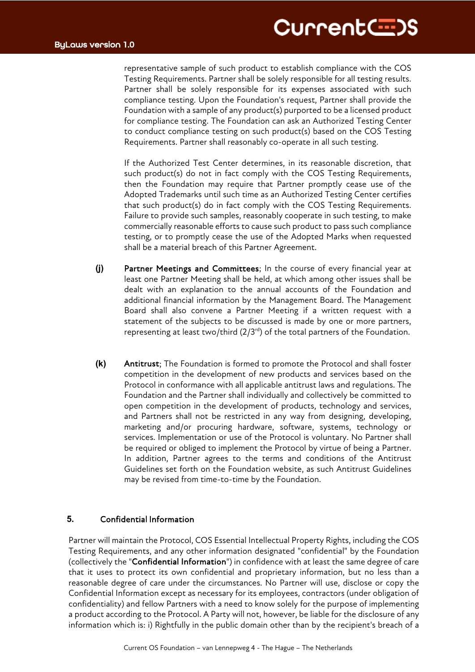representative sample of such product to establish compliance with the COS Testing Requirements. Partner shall be solely responsible for all testing results. Partner shall be solely responsible for its expenses associated with such compliance testing. Upon the Foundation's request, Partner shall provide the Foundation with a sample of any product(s) purported to be a licensed product for compliance testing. The Foundation can ask an Authorized Testing Center to conduct compliance testing on such product(s) based on the COS Testing Requirements. Partner shall reasonably co-operate in all such testing.

If the Authorized Test Center determines, in its reasonable discretion, that such product(s) do not in fact comply with the COS Testing Requirements, then the Foundation may require that Partner promptly cease use of the Adopted Trademarks until such time as an Authorized Testing Center certifies that such product(s) do in fact comply with the COS Testing Requirements. Failure to provide such samples, reasonably cooperate in such testing, to make commercially reasonable efforts to cause such product to pass such compliance testing, or to promptly cease the use of the Adopted Marks when requested shall be a material breach of this Partner Agreement.

- **(j)** Partner Meetings and Committees; In the course of every financial year at least one Partner Meeting shall be held, at which among other issues shall be dealt with an explanation to the annual accounts of the Foundation and additional financial information by the Management Board. The Management Board shall also convene a Partner Meeting if a written request with a statement of the subjects to be discussed is made by one or more partners, representing at least two/third  $(2/3<sup>rd</sup>)$  of the total partners of the Foundation.
- **(k)** Antitrust; The Foundation is formed to promote the Protocol and shall foster competition in the development of new products and services based on the Protocol in conformance with all applicable antitrust laws and regulations. The Foundation and the Partner shall individually and collectively be committed to open competition in the development of products, technology and services, and Partners shall not be restricted in any way from designing, developing, marketing and/or procuring hardware, software, systems, technology or services. Implementation or use of the Protocol is voluntary. No Partner shall be required or obliged to implement the Protocol by virtue of being a Partner. In addition, Partner agrees to the terms and conditions of the Antitrust Guidelines set forth on the Foundation website, as such Antitrust Guidelines may be revised from time-to-time by the Foundation.

## **5.** Confidential Information

Partner will maintain the Protocol, COS Essential Intellectual Property Rights, including the COS Testing Requirements, and any other information designated "confidential" by the Foundation (collectively the "Confidential Information") in confidence with at least the same degree of care that it uses to protect its own confidential and proprietary information, but no less than a reasonable degree of care under the circumstances. No Partner will use, disclose or copy the Confidential Information except as necessary for its employees, contractors (under obligation of confidentiality) and fellow Partners with a need to know solely for the purpose of implementing a product according to the Protocol. A Party will not, however, be liable for the disclosure of any information which is: i) Rightfully in the public domain other than by the recipient's breach of a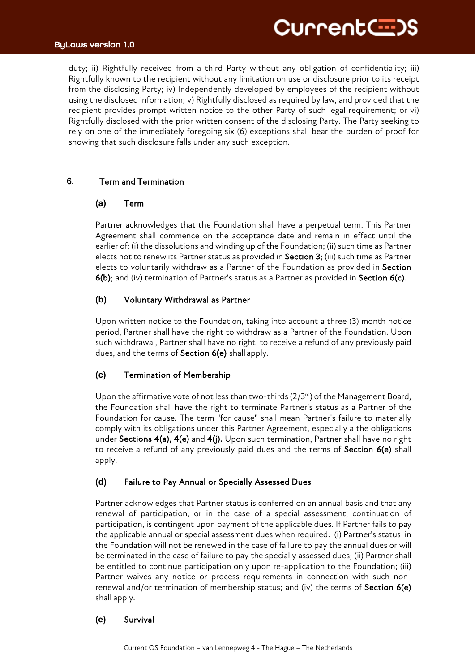# Current(--)S

# ByLaws version 1.0

TitleB duty; ii) Rightfully received from a third Party without any obligation of confidentiality; iii) Rightfully known to the recipient without any limitation on use or disclosure prior to its receipt from the disclosing Party; iv) Independently developed by employees of the recipient without using the disclosed information; v) Rightfully disclosed as required by law, and provided that the recipient provides prompt written notice to the other Party of such legal requirement; or vi) Rightfully disclosed with the prior written consent of the disclosing Party. The Party seeking to rely on one of the immediately foregoing six (6) exceptions shall bear the burden of proof for showing that such disclosure falls under any such exception.

# **6.** Term and Termination

# **(a)** Term

Partner acknowledges that the Foundation shall have a perpetual term. This Partner Agreement shall commence on the acceptance date and remain in effect until the earlier of: (i) the dissolutions and winding up of the Foundation; (ii) such time as Partner elects not to renew its Partner status as provided in Section 3; (iii) such time as Partner elects to voluntarily withdraw as a Partner of the Foundation as provided in Section 6(b); and (iv) termination of Partner's status as a Partner as provided in Section 6(c).

# **(b)** Voluntary Withdrawal as Partner

Upon written notice to the Foundation, taking into account a three (3) month notice period, Partner shall have the right to withdraw as a Partner of the Foundation. Upon such withdrawal, Partner shall have no right to receive a refund of any previously paid dues, and the terms of Section 6(e) shall apply.

# **(c)** Termination of Membership

Upon the affirmative vote of not less than two-thirds  $(2/3<sup>rd</sup>)$  of the Management Board, the Foundation shall have the right to terminate Partner's status as a Partner of the Foundation for cause. The term "for cause" shall mean Partner's failure to materially comply with its obligations under this Partner Agreement, especially a the obligations under Sections 4(a), 4(e) and 4(j). Upon such termination, Partner shall have no right to receive a refund of any previously paid dues and the terms of Section 6(e) shall apply.

# **(d)** Failure to Pay Annual or Specially Assessed Dues

Partner acknowledges that Partner status is conferred on an annual basis and that any renewal of participation, or in the case of a special assessment, continuation of participation, is contingent upon payment of the applicable dues. If Partner fails to pay the applicable annual or special assessment dues when required: (i) Partner's status in the Foundation will not be renewed in the case of failure to pay the annual dues or will be terminated in the case of failure to pay the specially assessed dues; (ii) Partner shall be entitled to continue participation only upon re-application to the Foundation; (iii) Partner waives any notice or process requirements in connection with such nonrenewal and/or termination of membership status; and (iv) the terms of Section  $6(e)$ shall apply.

# **(e)** Survival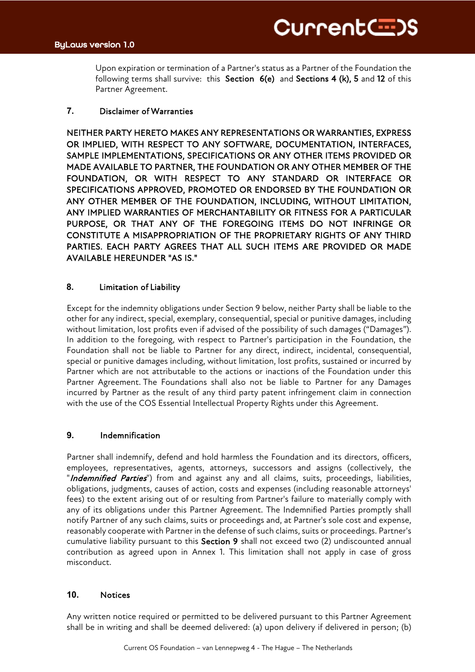Upon expiration or termination of a Partner's status as a Partner of the Foundation the following terms shall survive: this Section 6(e) and Sections 4 (k), 5 and 12 of this Partner Agreement.

# **7.** Disclaimer of Warranties

NEITHER PARTY HERETO MAKES ANY REPRESENTATIONS OR WARRANTIES, EXPRESS OR IMPLIED, WITH RESPECT TO ANY SOFTWARE, DOCUMENTATION, INTERFACES, SAMPLE IMPLEMENTATIONS, SPECIFICATIONS OR ANY OTHER ITEMS PROVIDED OR MADE AVAILABLE TO PARTNER, THE FOUNDATION OR ANY OTHER MEMBER OF THE FOUNDATION, OR WITH RESPECT TO ANY STANDARD OR INTERFACE OR SPECIFICATIONS APPROVED, PROMOTED OR ENDORSED BY THE FOUNDATION OR ANY OTHER MEMBER OF THE FOUNDATION, INCLUDING, WITHOUT LIMITATION, ANY IMPLIED WARRANTIES OF MERCHANTABILITY OR FITNESS FOR A PARTICULAR PURPOSE, OR THAT ANY OF THE FOREGOING ITEMS DO NOT INFRINGE OR CONSTITUTE A MISAPPROPRIATION OF THE PROPRIETARY RIGHTS OF ANY THIRD PARTIES. EACH PARTY AGREES THAT ALL SUCH ITEMS ARE PROVIDED OR MADE AVAILABLE HEREUNDER "AS IS."

# **8.** Limitation of Liability

Except for the indemnity obligations under Section 9 below, neither Party shall be liable to the other for any indirect, special, exemplary, consequential, special or punitive damages, including without limitation, lost profits even if advised of the possibility of such damages ("Damages"). In addition to the foregoing, with respect to Partner's participation in the Foundation, the Foundation shall not be liable to Partner for any direct, indirect, incidental, consequential, special or punitive damages including, without limitation, lost profits, sustained or incurred by Partner which are not attributable to the actions or inactions of the Foundation under this Partner Agreement. The Foundations shall also not be liable to Partner for any Damages incurred by Partner as the result of any third party patent infringement claim in connection with the use of the COS Essential Intellectual Property Rights under this Agreement.

# **9.** Indemnification

Partner shall indemnify, defend and hold harmless the Foundation and its directors, officers, employees, representatives, agents, attorneys, successors and assigns (collectively, the "Indemnified Parties") from and against any and all claims, suits, proceedings, liabilities, obligations, judgments, causes of action, costs and expenses (including reasonable attorneys' fees) to the extent arising out of or resulting from Partner's failure to materially comply with any of its obligations under this Partner Agreement. The Indemnified Parties promptly shall notify Partner of any such claims, suits or proceedings and, at Partner's sole cost and expense, reasonably cooperate with Partner in the defense of such claims, suits or proceedings. Partner's cumulative liability pursuant to this Section 9 shall not exceed two (2) undiscounted annual contribution as agreed upon in Annex 1. This limitation shall not apply in case of gross misconduct.

## **10.** Notices

Any written notice required or permitted to be delivered pursuant to this Partner Agreement shall be in writing and shall be deemed delivered: (a) upon delivery if delivered in person; (b)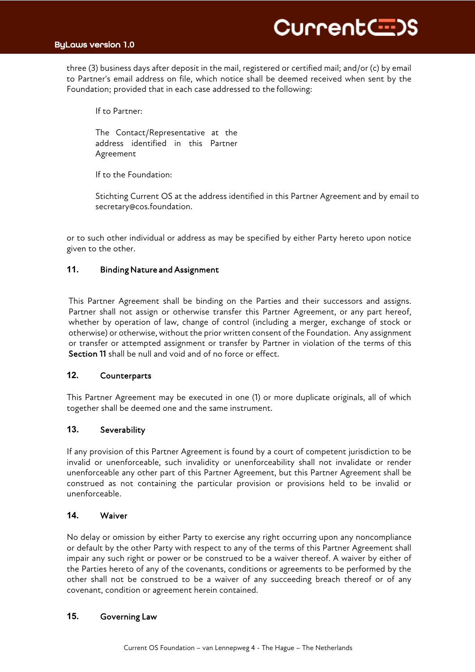

TitleB three (3) business days after deposit in the mail, registered or certified mail; and/or (c) by email to Partner's email address on file, which notice shall be deemed received when sent by the Foundation; provided that in each case addressed to the following:

If to Partner:

The Contact/Representative at the address identified in this Partner Agreement

If to the Foundation:

Stichting Current OS at the address identified in this Partner Agreement and by email to secretary@cos.foundation.

or to such other individual or address as may be specified by either Party hereto upon notice given to the other.

## **11.** Binding Nature and Assignment

This Partner Agreement shall be binding on the Parties and their successors and assigns. Partner shall not assign or otherwise transfer this Partner Agreement, or any part hereof, whether by operation of law, change of control (including a merger, exchange of stock or otherwise) or otherwise, without the prior written consent of the Foundation. Any assignment or transfer or attempted assignment or transfer by Partner in violation of the terms of this Section 11 shall be null and void and of no force or effect.

## **12.** Counterparts

This Partner Agreement may be executed in one (1) or more duplicate originals, all of which together shall be deemed one and the same instrument.

# **13.** Severability

If any provision of this Partner Agreement is found by a court of competent jurisdiction to be invalid or unenforceable, such invalidity or unenforceability shall not invalidate or render unenforceable any other part of this Partner Agreement, but this Partner Agreement shall be construed as not containing the particular provision or provisions held to be invalid or unenforceable.

## **14.** Waiver

No delay or omission by either Party to exercise any right occurring upon any noncompliance or default by the other Party with respect to any of the terms of this Partner Agreement shall impair any such right or power or be construed to be a waiver thereof. A waiver by either of the Parties hereto of any of the covenants, conditions or agreements to be performed by the other shall not be construed to be a waiver of any succeeding breach thereof or of any covenant, condition or agreement herein contained.

# **15.** Governing Law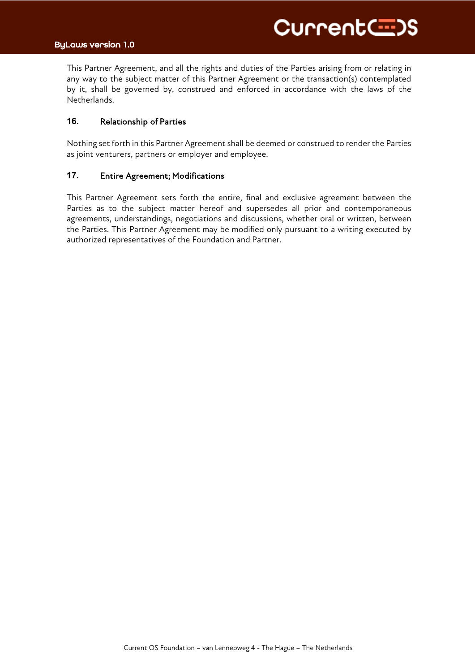$T_{\text{min}}$ This Partner Agreement, and all the rights and duties of the Parties arising from or relating in any way to the subject matter of this Partner Agreement or the transaction(s) contemplated by it, shall be governed by, construed and enforced in accordance with the laws of the Netherlands.

## **16.** Relationship of Parties

Nothing set forth in this Partner Agreement shall be deemed or construed to render the Parties as joint venturers, partners or employer and employee.

#### **17.** Entire Agreement; Modifications

This Partner Agreement sets forth the entire, final and exclusive agreement between the Parties as to the subject matter hereof and supersedes all prior and contemporaneous agreements, understandings, negotiations and discussions, whether oral or written, between the Parties. This Partner Agreement may be modified only pursuant to a writing executed by authorized representatives of the Foundation and Partner.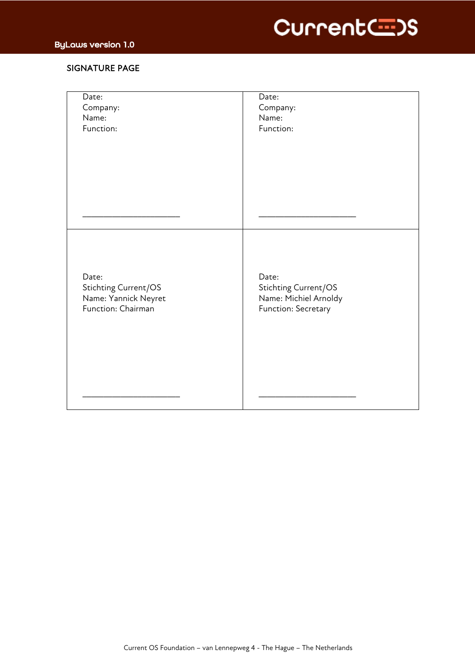



# SIGNATURE PAGE

| Date:<br>Company:<br>Name:<br>Function:                                     | Date:<br>Company:<br>Name:<br>Function:                                       |
|-----------------------------------------------------------------------------|-------------------------------------------------------------------------------|
|                                                                             |                                                                               |
|                                                                             |                                                                               |
| Date:<br>Stichting Current/OS<br>Name: Yannick Neyret<br>Function: Chairman | Date:<br>Stichting Current/OS<br>Name: Michiel Arnoldy<br>Function: Secretary |
|                                                                             |                                                                               |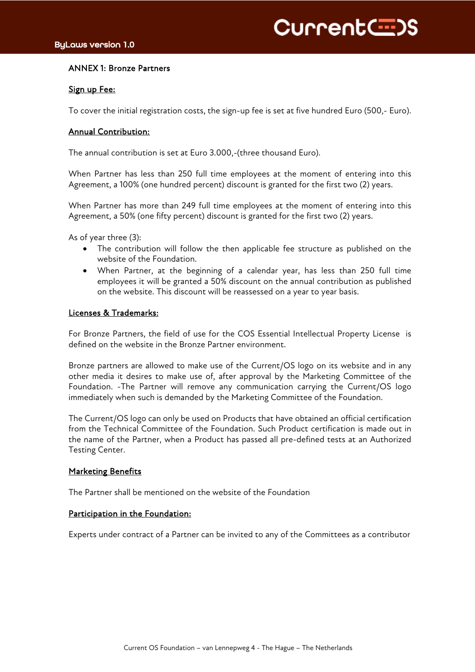# ANNEX 1: Bronze Partners

## Sign up Fee:

To cover the initial registration costs, the sign-up fee is set at five hundred Euro (500,- Euro).

# Annual Contribution:

The annual contribution is set at Euro 3.000,-(three thousand Euro).

When Partner has less than 250 full time employees at the moment of entering into this Agreement, a 100% (one hundred percent) discount is granted for the first two (2) years.

When Partner has more than 249 full time employees at the moment of entering into this Agreement, a 50% (one fifty percent) discount is granted for the first two (2) years.

As of year three (3):

- The contribution will follow the then applicable fee structure as published on the website of the Foundation.
- When Partner, at the beginning of a calendar year, has less than 250 full time employees it will be granted a 50% discount on the annual contribution as published on the website. This discount will be reassessed on a year to year basis.

## Licenses & Trademarks:

For Bronze Partners, the field of use for the COS Essential Intellectual Property License is defined on the website in the Bronze Partner environment.

Bronze partners are allowed to make use of the Current/OS logo on its website and in any other media it desires to make use of, after approval by the Marketing Committee of the Foundation. -The Partner will remove any communication carrying the Current/OS logo immediately when such is demanded by the Marketing Committee of the Foundation.

The Current/OS logo can only be used on Products that have obtained an official certification from the Technical Committee of the Foundation. Such Product certification is made out in the name of the Partner, when a Product has passed all pre-defined tests at an Authorized Testing Center.

## **Marketing Benefits**

The Partner shall be mentioned on the website of the Foundation

## Participation in the Foundation:

Experts under contract of a Partner can be invited to any of the Committees as a contributor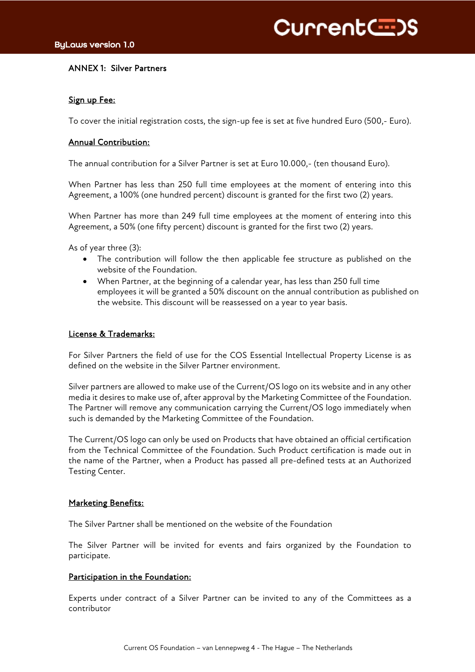Current(--)S

# ANNEX 1: Silver Partners

## Sign up Fee:

To cover the initial registration costs, the sign-up fee is set at five hundred Euro (500,- Euro).

## Annual Contribution:

The annual contribution for a Silver Partner is set at Euro 10.000,- (ten thousand Euro).

When Partner has less than 250 full time employees at the moment of entering into this Agreement, a 100% (one hundred percent) discount is granted for the first two (2) years.

When Partner has more than 249 full time employees at the moment of entering into this Agreement, a 50% (one fifty percent) discount is granted for the first two (2) years.

As of year three (3):

- The contribution will follow the then applicable fee structure as published on the website of the Foundation.
- When Partner, at the beginning of a calendar year, has less than 250 full time employees it will be granted a 50% discount on the annual contribution as published on the website. This discount will be reassessed on a year to year basis.

## License & Trademarks:

For Silver Partners the field of use for the COS Essential Intellectual Property License is as defined on the website in the Silver Partner environment.

Silver partners are allowed to make use of the Current/OS logo on its website and in any other media it desires to make use of, after approval by the Marketing Committee of the Foundation. The Partner will remove any communication carrying the Current/OS logo immediately when such is demanded by the Marketing Committee of the Foundation.

The Current/OS logo can only be used on Products that have obtained an official certification from the Technical Committee of the Foundation. Such Product certification is made out in the name of the Partner, when a Product has passed all pre-defined tests at an Authorized Testing Center.

# **Marketing Benefits:**

The Silver Partner shall be mentioned on the website of the Foundation

The Silver Partner will be invited for events and fairs organized by the Foundation to participate.

## Participation in the Foundation:

Experts under contract of a Silver Partner can be invited to any of the Committees as a contributor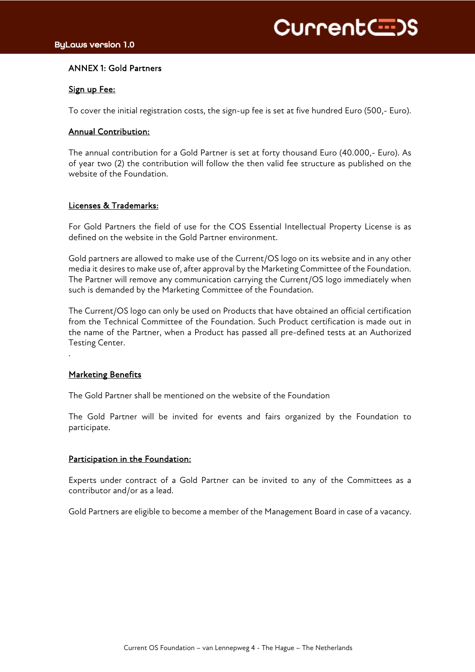# ANNEX 1: Gold Partners

# Sign up Fee:

To cover the initial registration costs, the sign-up fee is set at five hundred Euro (500,- Euro).

# Annual Contribution:

The annual contribution for a Gold Partner is set at forty thousand Euro (40.000,- Euro). As of year two (2) the contribution will follow the then valid fee structure as published on the website of the Foundation.

# Licenses & Trademarks:

For Gold Partners the field of use for the COS Essential Intellectual Property License is as defined on the website in the Gold Partner environment.

Gold partners are allowed to make use of the Current/OS logo on its website and in any other media it desires to make use of, after approval by the Marketing Committee of the Foundation. The Partner will remove any communication carrying the Current/OS logo immediately when such is demanded by the Marketing Committee of the Foundation.

The Current/OS logo can only be used on Products that have obtained an official certification from the Technical Committee of the Foundation. Such Product certification is made out in the name of the Partner, when a Product has passed all pre-defined tests at an Authorized Testing Center.

# **Marketing Benefits**

.

The Gold Partner shall be mentioned on the website of the Foundation

The Gold Partner will be invited for events and fairs organized by the Foundation to participate.

# Participation in the Foundation:

Experts under contract of a Gold Partner can be invited to any of the Committees as a contributor and/or as a lead.

Gold Partners are eligible to become a member of the Management Board in case of a vacancy.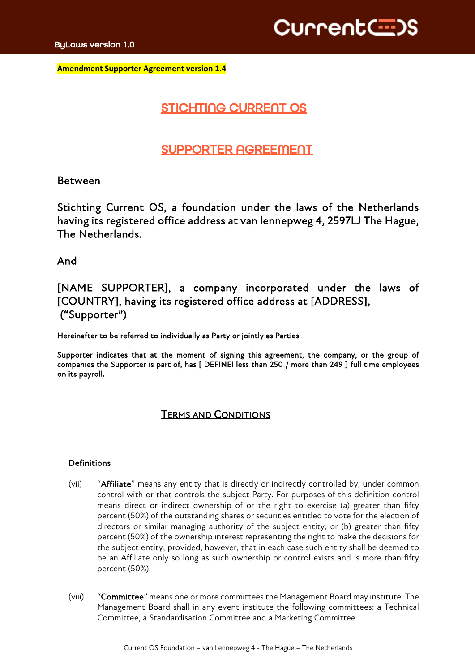Current(=)

TitleBase **Amendment Supporter Agreement version 1.4**

# STICHTING CURRENT OS

# SUPPORTER AGREEMENT

# Between

Stichting Current OS, a foundation under the laws of the Netherlands having its registered office address at van lennepweg 4, 2597LJ The Hague, The Netherlands.

And

# [NAME SUPPORTER], a company incorporated under the laws of [COUNTRY], having its registered office address at [ADDRESS], ("Supporter")

Hereinafter to be referred to individually as Party or jointly as Parties

Supporter indicates that at the moment of signing this agreement, the company, or the group of companies the Supporter is part of, has [ DEFINE! less than 250 / more than 249 ] full time employees on its payroll.

# TERMS AND CONDITIONS

# Definitions

- (vii) "Affiliate" means any entity that is directly or indirectly controlled by, under common control with or that controls the subject Party. For purposes of this definition control means direct or indirect ownership of or the right to exercise (a) greater than fifty percent (50%) of the outstanding shares or securities entitled to vote for the election of directors or similar managing authority of the subject entity; or (b) greater than fifty percent (50%) of the ownership interest representing the right to make the decisions for the subject entity; provided, however, that in each case such entity shall be deemed to be an Affiliate only so long as such ownership or control exists and is more than fifty percent (50%).
- (viii) "Committee" means one or more committees the Management Board may institute. The Management Board shall in any event institute the following committees: a Technical Committee, a Standardisation Committee and a Marketing Committee.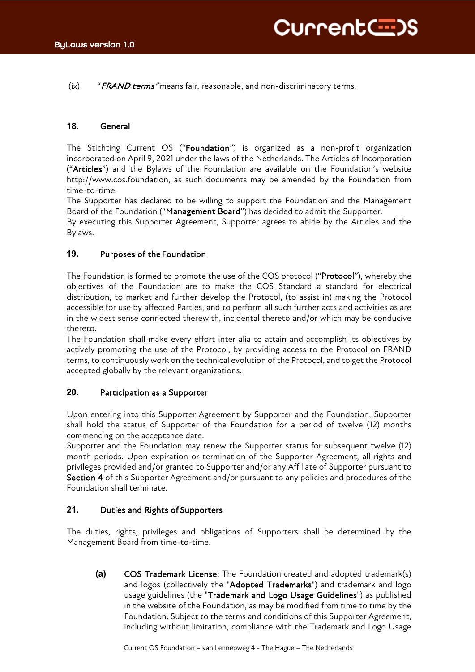$(ix)$  "*FRAND terms*" means fair, reasonable, and non-discriminatory terms.

# **18.** General

The Stichting Current OS ("Foundation") is organized as a non-profit organization incorporated on April 9, 2021 under the laws of the Netherlands. The Articles of Incorporation ("Articles") and the Bylaws of the Foundation are available on the Foundation's website http://www.cos.foundation, as such documents may be amended by the Foundation from time-to-time.

The Supporter has declared to be willing to support the Foundation and the Management Board of the Foundation ("Management Board") has decided to admit the Supporter.

By executing this Supporter Agreement, Supporter agrees to abide by the Articles and the Bylaws.

## **19.** Purposes of the Foundation

The Foundation is formed to promote the use of the COS protocol ("Protocol"), whereby the objectives of the Foundation are to make the COS Standard a standard for electrical distribution, to market and further develop the Protocol, (to assist in) making the Protocol accessible for use by affected Parties, and to perform all such further acts and activities as are in the widest sense connected therewith, incidental thereto and/or which may be conducive thereto.

The Foundation shall make every effort inter alia to attain and accomplish its objectives by actively promoting the use of the Protocol, by providing access to the Protocol on FRAND terms, to continuously work on the technical evolution of the Protocol, and to get the Protocol accepted globally by the relevant organizations.

## **20.** Participation as a Supporter

Upon entering into this Supporter Agreement by Supporter and the Foundation, Supporter shall hold the status of Supporter of the Foundation for a period of twelve (12) months commencing on the acceptance date.

Supporter and the Foundation may renew the Supporter status for subsequent twelve (12) month periods. Upon expiration or termination of the Supporter Agreement, all rights and privileges provided and/or granted to Supporter and/or any Affiliate of Supporter pursuant to Section 4 of this Supporter Agreement and/or pursuant to any policies and procedures of the Foundation shall terminate.

# **21.** Duties and Rights of Supporters

The duties, rights, privileges and obligations of Supporters shall be determined by the Management Board from time-to-time.

**(a)** COS Trademark License; The Foundation created and adopted trademark(s) and logos (collectively the "Adopted Trademarks") and trademark and logo usage guidelines (the "Trademark and Logo Usage Guidelines") as published in the website of the Foundation, as may be modified from time to time by the Foundation. Subject to the terms and conditions of this Supporter Agreement, including without limitation, compliance with the Trademark and Logo Usage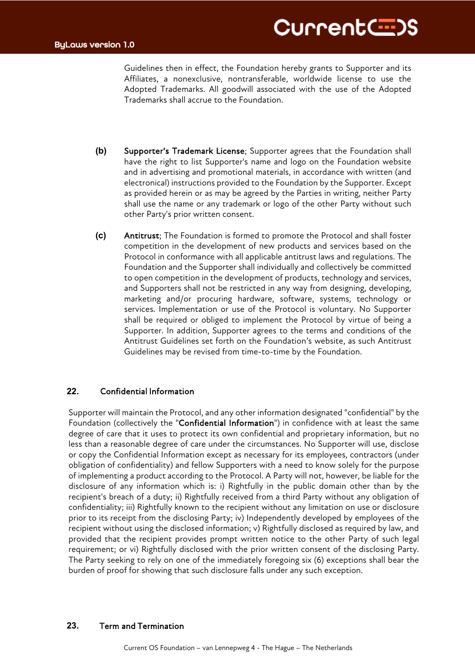Guidelines then in effect, the Foundation hereby grants to Supporter and its Affiliates, a nonexclusive, nontransferable, worldwide license to use the Adopted Trademarks. All goodwill associated with the use of the Adopted Trademarks shall accrue to the Foundation.

- **(b)** Supporter's Trademark License; Supporter agrees that the Foundation shall have the right to list Supporter's name and logo on the Foundation website and in advertising and promotional materials, in accordance with written (and electronical) instructions provided to the Foundation by the Supporter. Except as provided herein or as may be agreed by the Parties in writing, neither Party shall use the name or any trademark or logo of the other Party without such other Party's prior written consent.
- **(c)** Antitrust; The Foundation is formed to promote the Protocol and shall foster competition in the development of new products and services based on the Protocol in conformance with all applicable antitrust laws and regulations. The Foundation and the Supporter shall individually and collectively be committed to open competition in the development of products, technology and services, and Supporters shall not be restricted in any way from designing, developing, marketing and/or procuring hardware, software, systems, technology or services. Implementation or use of the Protocol is voluntary. No Supporter shall be required or obliged to implement the Protocol by virtue of being a Supporter. In addition, Supporter agrees to the terms and conditions of the Antitrust Guidelines set forth on the Foundation's website, as such Antitrust Guidelines may be revised from time-to-time by the Foundation.

# **22.** Confidential Information

Supporter will maintain the Protocol, and any other information designated "confidential" by the Foundation (collectively the "Confidential Information") in confidence with at least the same degree of care that it uses to protect its own confidential and proprietary information, but no less than a reasonable degree of care under the circumstances. No Supporter will use, disclose or copy the Confidential Information except as necessary for its employees, contractors (under obligation of confidentiality) and fellow Supporters with a need to know solely for the purpose of implementing a product according to the Protocol. A Party will not, however, be liable for the disclosure of any information which is: i) Rightfully in the public domain other than by the recipient's breach of a duty; ii) Rightfully received from a third Party without any obligation of confidentiality; iii) Rightfully known to the recipient without any limitation on use or disclosure prior to its receipt from the disclosing Party; iv) Independently developed by employees of the recipient without using the disclosed information; v) Rightfully disclosed as required by law, and provided that the recipient provides prompt written notice to the other Party of such legal requirement; or vi) Rightfully disclosed with the prior written consent of the disclosing Party. The Party seeking to rely on one of the immediately foregoing six (6) exceptions shall bear the burden of proof for showing that such disclosure falls under any such exception.

# **23.** Term and Termination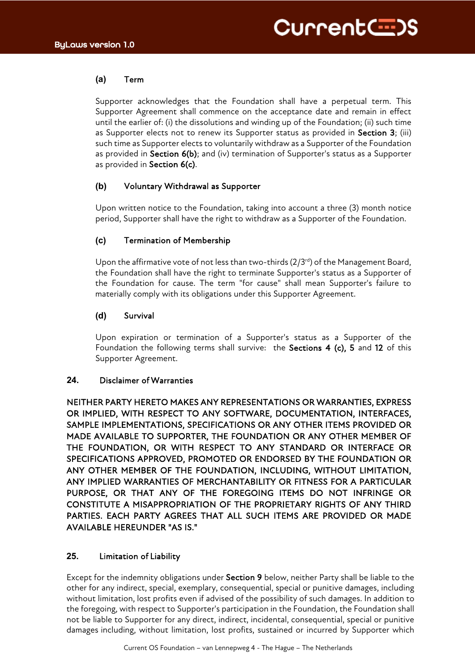# **(a)** Term

Supporter acknowledges that the Foundation shall have a perpetual term. This Supporter Agreement shall commence on the acceptance date and remain in effect until the earlier of: (i) the dissolutions and winding up of the Foundation; (ii) such time as Supporter elects not to renew its Supporter status as provided in Section 3; (iii) such time as Supporter elects to voluntarily withdraw as a Supporter of the Foundation as provided in Section 6(b); and (iv) termination of Supporter's status as a Supporter as provided in Section 6(c).

# **(b)** Voluntary Withdrawal as Supporter

Upon written notice to the Foundation, taking into account a three (3) month notice period, Supporter shall have the right to withdraw as a Supporter of the Foundation.

# **(c)** Termination of Membership

Upon the affirmative vote of not less than two-thirds  $(2/3<sup>rd</sup>)$  of the Management Board, the Foundation shall have the right to terminate Supporter's status as a Supporter of the Foundation for cause. The term "for cause" shall mean Supporter's failure to materially comply with its obligations under this Supporter Agreement.

# **(d)** Survival

Upon expiration or termination of a Supporter's status as a Supporter of the Foundation the following terms shall survive: the Sections 4 (c), 5 and 12 of this Supporter Agreement.

# **24.** Disclaimer of Warranties

NEITHER PARTY HERETO MAKES ANY REPRESENTATIONS OR WARRANTIES, EXPRESS OR IMPLIED, WITH RESPECT TO ANY SOFTWARE, DOCUMENTATION, INTERFACES, SAMPLE IMPLEMENTATIONS, SPECIFICATIONS OR ANY OTHER ITEMS PROVIDED OR MADE AVAILABLE TO SUPPORTER, THE FOUNDATION OR ANY OTHER MEMBER OF THE FOUNDATION, OR WITH RESPECT TO ANY STANDARD OR INTERFACE OR SPECIFICATIONS APPROVED, PROMOTED OR ENDORSED BY THE FOUNDATION OR ANY OTHER MEMBER OF THE FOUNDATION, INCLUDING, WITHOUT LIMITATION, ANY IMPLIED WARRANTIES OF MERCHANTABILITY OR FITNESS FOR A PARTICULAR PURPOSE, OR THAT ANY OF THE FOREGOING ITEMS DO NOT INFRINGE OR CONSTITUTE A MISAPPROPRIATION OF THE PROPRIETARY RIGHTS OF ANY THIRD PARTIES. EACH PARTY AGREES THAT ALL SUCH ITEMS ARE PROVIDED OR MADE AVAILABLE HEREUNDER "AS IS."

# **25.** Limitation of Liability

Except for the indemnity obligations under Section 9 below, neither Party shall be liable to the other for any indirect, special, exemplary, consequential, special or punitive damages, including without limitation, lost profits even if advised of the possibility of such damages. In addition to the foregoing, with respect to Supporter's participation in the Foundation, the Foundation shall not be liable to Supporter for any direct, indirect, incidental, consequential, special or punitive damages including, without limitation, lost profits, sustained or incurred by Supporter which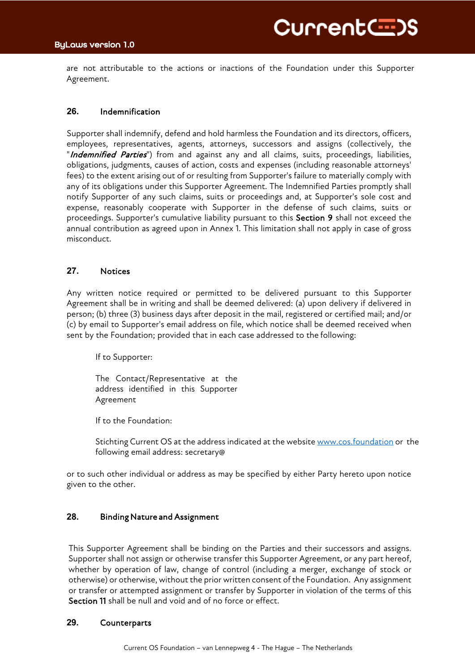# ByLaws version 1.0

are not attributable to the actions or inactions of the Foundation under this Supporter Agreement.

# **26.** Indemnification

Supporter shall indemnify, defend and hold harmless the Foundation and its directors, officers, employees, representatives, agents, attorneys, successors and assigns (collectively, the "Indemnified Parties") from and against any and all claims, suits, proceedings, liabilities, obligations, judgments, causes of action, costs and expenses (including reasonable attorneys' fees) to the extent arising out of or resulting from Supporter's failure to materially comply with any of its obligations under this Supporter Agreement. The Indemnified Parties promptly shall notify Supporter of any such claims, suits or proceedings and, at Supporter's sole cost and expense, reasonably cooperate with Supporter in the defense of such claims, suits or proceedings. Supporter's cumulative liability pursuant to this Section 9 shall not exceed the annual contribution as agreed upon in Annex 1. This limitation shall not apply in case of gross misconduct.

# **27.** Notices

Any written notice required or permitted to be delivered pursuant to this Supporter Agreement shall be in writing and shall be deemed delivered: (a) upon delivery if delivered in person; (b) three (3) business days after deposit in the mail, registered or certified mail; and/or (c) by email to Supporter's email address on file, which notice shall be deemed received when sent by the Foundation; provided that in each case addressed to the following:

If to Supporter:

The Contact/Representative at the address identified in this Supporter Agreement

If to the Foundation:

Stichting Current OS at the address indicated at the website www.cos.foundation or the following email address: secretary@

or to such other individual or address as may be specified by either Party hereto upon notice given to the other.

## **28.** Binding Nature and Assignment

This Supporter Agreement shall be binding on the Parties and their successors and assigns. Supporter shall not assign or otherwise transfer this Supporter Agreement, or any part hereof, whether by operation of law, change of control (including a merger, exchange of stock or otherwise) or otherwise, without the prior written consent of the Foundation. Any assignment or transfer or attempted assignment or transfer by Supporter in violation of the terms of this Section 11 shall be null and void and of no force or effect.

## **29.** Counterparts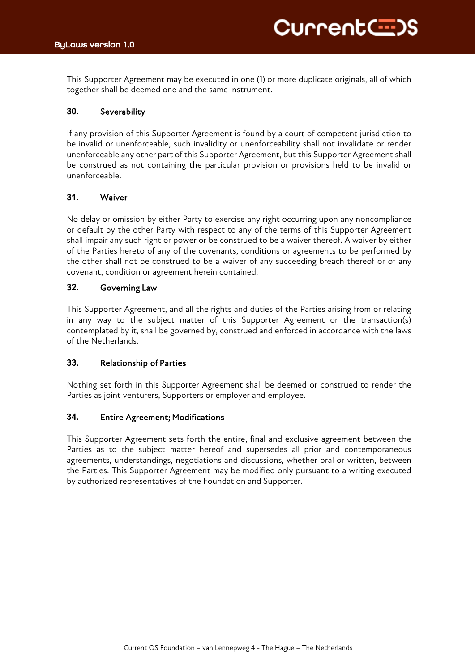This Supporter Agreement may be executed in one (1) or more duplicate originals, all of which together shall be deemed one and the same instrument.

# **30.** Severability

If any provision of this Supporter Agreement is found by a court of competent jurisdiction to be invalid or unenforceable, such invalidity or unenforceability shall not invalidate or render unenforceable any other part of this Supporter Agreement, but this Supporter Agreement shall be construed as not containing the particular provision or provisions held to be invalid or unenforceable.

# **31.** Waiver

No delay or omission by either Party to exercise any right occurring upon any noncompliance or default by the other Party with respect to any of the terms of this Supporter Agreement shall impair any such right or power or be construed to be a waiver thereof. A waiver by either of the Parties hereto of any of the covenants, conditions or agreements to be performed by the other shall not be construed to be a waiver of any succeeding breach thereof or of any covenant, condition or agreement herein contained.

# **32.** Governing Law

This Supporter Agreement, and all the rights and duties of the Parties arising from or relating in any way to the subject matter of this Supporter Agreement or the transaction(s) contemplated by it, shall be governed by, construed and enforced in accordance with the laws of the Netherlands.

# **33.** Relationship of Parties

Nothing set forth in this Supporter Agreement shall be deemed or construed to render the Parties as joint venturers, Supporters or employer and employee.

# **34.** Entire Agreement; Modifications

This Supporter Agreement sets forth the entire, final and exclusive agreement between the Parties as to the subject matter hereof and supersedes all prior and contemporaneous agreements, understandings, negotiations and discussions, whether oral or written, between the Parties. This Supporter Agreement may be modified only pursuant to a writing executed by authorized representatives of the Foundation and Supporter.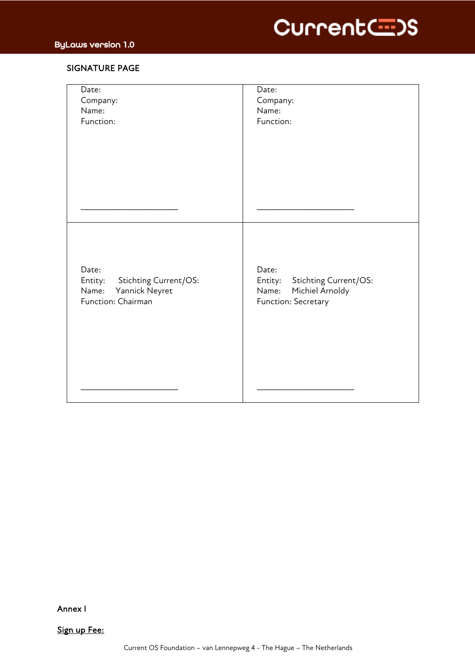

# SIGNATURE PAGE

| Date:<br>Company:<br>Name:<br>Function:                                                    | Date:<br>Company:<br>Name:<br>Function:                                                      |
|--------------------------------------------------------------------------------------------|----------------------------------------------------------------------------------------------|
|                                                                                            |                                                                                              |
|                                                                                            |                                                                                              |
| Date:<br>Stichting Current/OS:<br>Entity:<br>Yannick Neyret<br>Name:<br>Function: Chairman | Date:<br>Entity:<br>Stichting Current/OS:<br>Michiel Arnoldy<br>Name:<br>Function: Secretary |
|                                                                                            |                                                                                              |

Annex I

Sign up Fee: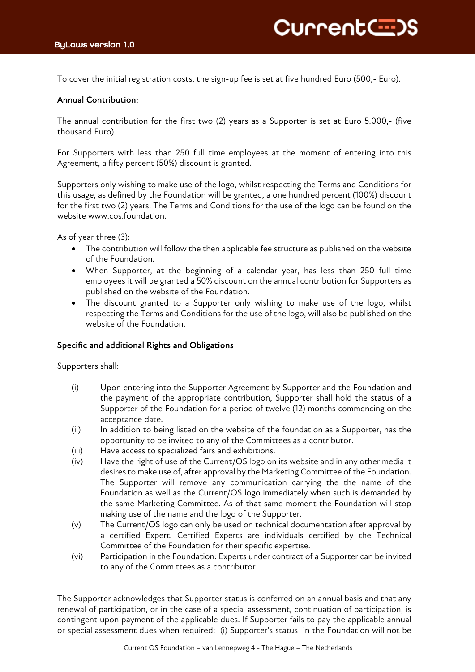To cover the initial registration costs, the sign-up fee is set at five hundred Euro (500,- Euro).

# Annual Contribution:

The annual contribution for the first two (2) years as a Supporter is set at Euro 5.000,- (five thousand Euro).

For Supporters with less than 250 full time employees at the moment of entering into this Agreement, a fifty percent (50%) discount is granted.

Supporters only wishing to make use of the logo, whilst respecting the Terms and Conditions for this usage, as defined by the Foundation will be granted, a one hundred percent (100%) discount for the first two (2) years. The Terms and Conditions for the use of the logo can be found on the website www.cos.foundation.

As of year three (3):

- The contribution will follow the then applicable fee structure as published on the website of the Foundation.
- When Supporter, at the beginning of a calendar year, has less than 250 full time employees it will be granted a 50% discount on the annual contribution for Supporters as published on the website of the Foundation.
- The discount granted to a Supporter only wishing to make use of the logo, whilst respecting the Terms and Conditions for the use of the logo, will also be published on the website of the Foundation.

# Specific and additional Rights and Obligations

Supporters shall:

- (i) Upon entering into the Supporter Agreement by Supporter and the Foundation and the payment of the appropriate contribution, Supporter shall hold the status of a Supporter of the Foundation for a period of twelve (12) months commencing on the acceptance date.
- (ii) In addition to being listed on the website of the foundation as a Supporter, has the opportunity to be invited to any of the Committees as a contributor.
- (iii) Have access to specialized fairs and exhibitions.
- (iv) Have the right of use of the Current/OS logo on its website and in any other media it desires to make use of, after approval by the Marketing Committee of the Foundation. The Supporter will remove any communication carrying the the name of the Foundation as well as the Current/OS logo immediately when such is demanded by the same Marketing Committee. As of that same moment the Foundation will stop making use of the name and the logo of the Supporter.
- (v) The Current/OS logo can only be used on technical documentation after approval by a certified Expert. Certified Experts are individuals certified by the Technical Committee of the Foundation for their specific expertise.
- (vi) Participation in the Foundation: Experts under contract of a Supporter can be invited to any of the Committees as a contributor

The Supporter acknowledges that Supporter status is conferred on an annual basis and that any renewal of participation, or in the case of a special assessment, continuation of participation, is contingent upon payment of the applicable dues. If Supporter fails to pay the applicable annual or special assessment dues when required: (i) Supporter's status in the Foundation will not be